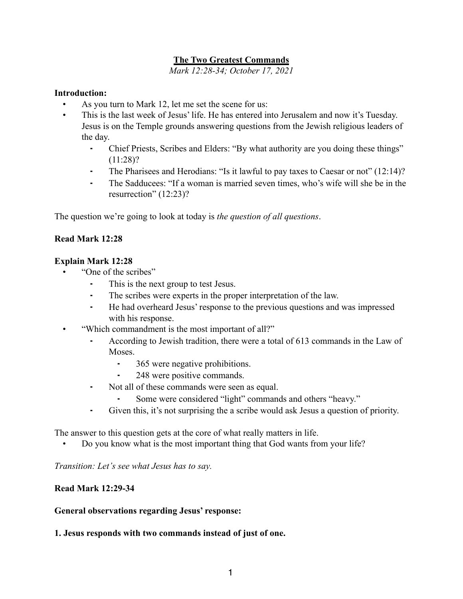### **The Two Greatest Commands**

*Mark 12:28-34; October 17, 2021*

#### **Introduction:**

- As you turn to Mark 12, let me set the scene for us:
- This is the last week of Jesus' life. He has entered into Jerusalem and now it's Tuesday. Jesus is on the Temple grounds answering questions from the Jewish religious leaders of the day.
	- ⁃ Chief Priests, Scribes and Elders: "By what authority are you doing these things"  $(11:28)?$
	- The Pharisees and Herodians: "Is it lawful to pay taxes to Caesar or not" (12:14)?
	- The Sadducees: "If a woman is married seven times, who's wife will she be in the resurrection" (12:23)?

The question we're going to look at today is *the question of all questions*.

#### **Read Mark 12:28**

#### **Explain Mark 12:28**

- "One of the scribes"
	- This is the next group to test Jesus.
	- The scribes were experts in the proper interpretation of the law.
	- He had overheard Jesus' response to the previous questions and was impressed with his response.
- "Which commandment is the most important of all?"
	- According to Jewish tradition, there were a total of 613 commands in the Law of Moses.
		- ⁃ 365 were negative prohibitions.
		- 248 were positive commands.
	- Not all of these commands were seen as equal.
		- Some were considered "light" commands and others "heavy."
	- ⁃ Given this, it's not surprising the a scribe would ask Jesus a question of priority.

The answer to this question gets at the core of what really matters in life.

• Do you know what is the most important thing that God wants from your life?

*Transition: Let's see what Jesus has to say.* 

#### **Read Mark 12:29-34**

#### **General observations regarding Jesus' response:**

#### **1. Jesus responds with two commands instead of just of one.**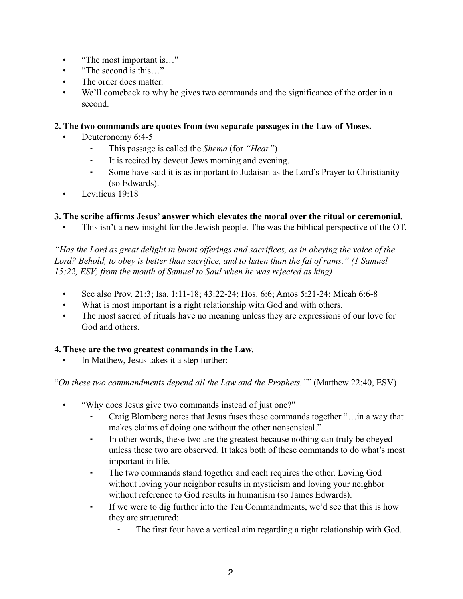- "The most important is..."
- "The second is this "
- The order does matter.
- We'll comeback to why he gives two commands and the significance of the order in a second.

#### **2. The two commands are quotes from two separate passages in the Law of Moses.**

- Deuteronomy 6:4-5
	- ⁃ This passage is called the *Shema* (for *"Hear"*)
	- It is recited by devout Jews morning and evening.
	- ⁃ Some have said it is as important to Judaism as the Lord's Prayer to Christianity (so Edwards).
- Leviticus 19:18

#### **3. The scribe affirms Jesus' answer which elevates the moral over the ritual or ceremonial.**

• This isn't a new insight for the Jewish people. The was the biblical perspective of the OT.

*"Has the Lord as great delight in burnt offerings and sacrifices, as in obeying the voice of the Lord? Behold, to obey is better than sacrifice, and to listen than the fat of rams." (1 Samuel 15:22, ESV; from the mouth of Samuel to Saul when he was rejected as king)*

- See also Prov. 21:3; Isa. 1:11-18; 43:22-24; Hos. 6:6; Amos 5:21-24; Micah 6:6-8
- What is most important is a right relationship with God and with others.
- The most sacred of rituals have no meaning unless they are expressions of our love for God and others.

#### **4. These are the two greatest commands in the Law.**

In Matthew, Jesus takes it a step further:

"*On these two commandments depend all the Law and the Prophets."*" (Matthew 22:40, ESV)

- "Why does Jesus give two commands instead of just one?"
	- Craig Blomberg notes that Jesus fuses these commands together "... in a way that makes claims of doing one without the other nonsensical."
	- In other words, these two are the greatest because nothing can truly be obeyed unless these two are observed. It takes both of these commands to do what's most important in life.
	- ⁃ The two commands stand together and each requires the other. Loving God without loving your neighbor results in mysticism and loving your neighbor without reference to God results in humanism (so James Edwards).
	- ⁃ If we were to dig further into the Ten Commandments, we'd see that this is how they are structured:
		- The first four have a vertical aim regarding a right relationship with God.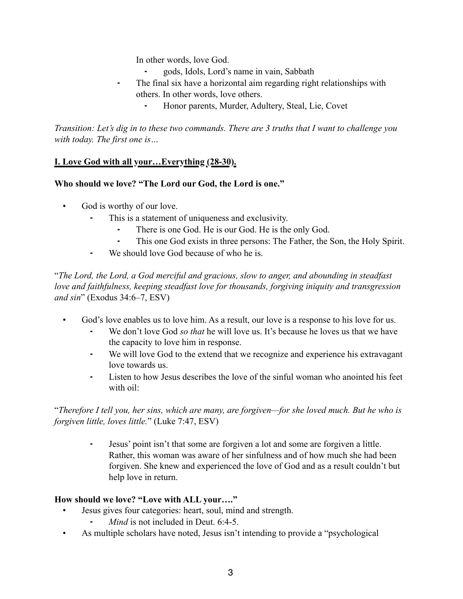In other words, love God.

- ⁃ gods, Idols, Lord's name in vain, Sabbath
- The final six have a horizontal aim regarding right relationships with others. In other words, love others.
	- ⁃ Honor parents, Murder, Adultery, Steal, Lie, Covet

*Transition: Let's dig in to these two commands. There are 3 truths that I want to challenge you with today. The first one is…*

### **I. Love God with all your…Everything (28-30).**

### **Who should we love? "The Lord our God, the Lord is one."**

- God is worthy of our love.
	- This is a statement of uniqueness and exclusivity.
		- There is one God. He is our God. He is the only God.
		- ⁃ This one God exists in three persons: The Father, the Son, the Holy Spirit.
	- ⁃ We should love God because of who he is.

"*The Lord, the Lord, a God merciful and gracious, slow to anger, and abounding in steadfast love and faithfulness, keeping steadfast love for thousands, forgiving iniquity and transgression and sin*" (Exodus 34:6–7, ESV)

- God's love enables us to love him. As a result, our love is a response to his love for us.
	- We don't love God *so that* he will love us. It's because he loves us that we have the capacity to love him in response.
	- We will love God to the extend that we recognize and experience his extravagant love towards us.
	- ⁃ Listen to how Jesus describes the love of the sinful woman who anointed his feet with oil:

"*Therefore I tell you, her sins, which are many, are forgiven—for she loved much. But he who is forgiven little, loves little.*" (Luke 7:47, ESV)

> ⁃ Jesus' point isn't that some are forgiven a lot and some are forgiven a little. Rather, this woman was aware of her sinfulness and of how much she had been forgiven. She knew and experienced the love of God and as a result couldn't but help love in return.

#### **How should we love? "Love with ALL your…."**

- Jesus gives four categories: heart, soul, mind and strength.
	- *Mind* is not included in Deut. 6:4-5.
- As multiple scholars have noted, Jesus isn't intending to provide a "psychological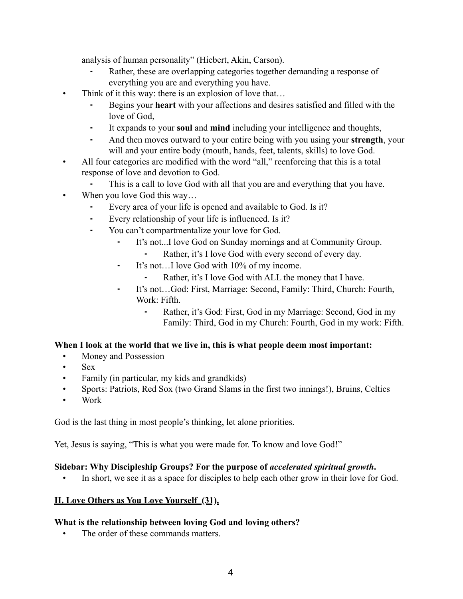analysis of human personality" (Hiebert, Akin, Carson).

- Rather, these are overlapping categories together demanding a response of everything you are and everything you have.
- Think of it this way: there is an explosion of love that...
	- ⁃ Begins your **heart** with your affections and desires satisfied and filled with the love of God,
	- It expands to your **soul** and **mind** including your intelligence and thoughts,
	- ⁃ And then moves outward to your entire being with you using your **strength**, your will and your entire body (mouth, hands, feet, talents, skills) to love God.
- All four categories are modified with the word "all," reenforcing that this is a total response of love and devotion to God.
	- This is a call to love God with all that you are and everything that you have.
- When you love God this way...
	- Every area of your life is opened and available to God. Is it?
	- Every relationship of your life is influenced. Is it?
	- You can't compartmentalize your love for God.
		- ⁃ It's not...I love God on Sunday mornings and at Community Group.
			- Rather, it's I love God with every second of every day.
		- ⁃ It's not…I love God with 10% of my income.
			- Rather, it's I love God with ALL the money that I have.
		- ⁃ It's not…God: First, Marriage: Second, Family: Third, Church: Fourth, Work: Fifth.
			- Rather, it's God: First, God in my Marriage: Second, God in my Family: Third, God in my Church: Fourth, God in my work: Fifth.

## **When I look at the world that we live in, this is what people deem most important:**

- Money and Possession
- Sex
- Family (in particular, my kids and grandkids)
- Sports: Patriots, Red Sox (two Grand Slams in the first two innings!), Bruins, Celtics
- Work

God is the last thing in most people's thinking, let alone priorities.

Yet, Jesus is saying, "This is what you were made for. To know and love God!"

## **Sidebar: Why Discipleship Groups? For the purpose of** *accelerated spiritual growth***.**

In short, we see it as a space for disciples to help each other grow in their love for God.

## **II. Love Others as You Love Yourself (31).**

## **What is the relationship between loving God and loving others?**

The order of these commands matters.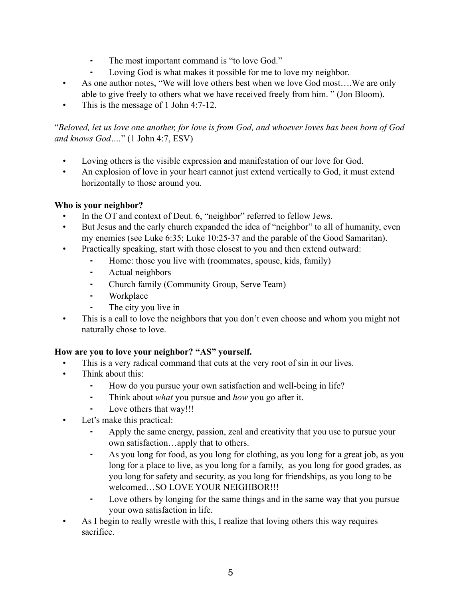- ⁃ The most important command is "to love God."
- Loving God is what makes it possible for me to love my neighbor.
- As one author notes, "We will love others best when we love God most….We are only able to give freely to others what we have received freely from him. " (Jon Bloom).
- This is the message of 1 John 4:7-12.

### "*Beloved, let us love one another, for love is from God, and whoever loves has been born of God and knows God….*" (1 John 4:7, ESV)

- Loving others is the visible expression and manifestation of our love for God.
- An explosion of love in your heart cannot just extend vertically to God, it must extend horizontally to those around you.

# **Who is your neighbor?**

- In the OT and context of Deut. 6, "neighbor" referred to fellow Jews.
- But Jesus and the early church expanded the idea of "neighbor" to all of humanity, even my enemies (see Luke 6:35; Luke 10:25-37 and the parable of the Good Samaritan).
- Practically speaking, start with those closest to you and then extend outward:
	- ⁃ Home: those you live with (roommates, spouse, kids, family)
	- ⁃ Actual neighbors
	- ⁃ Church family (Community Group, Serve Team)
	- **Workplace**
	- The city you live in
- This is a call to love the neighbors that you don't even choose and whom you might not naturally chose to love.

# **How are you to love your neighbor? "AS" yourself.**

- This is a very radical command that cuts at the very root of sin in our lives.
- Think about this:
	- How do you pursue your own satisfaction and well-being in life?
	- ⁃ Think about *what* you pursue and *how* you go after it.
	- Love others that way!!!
- Let's make this practical:
	- Apply the same energy, passion, zeal and creativity that you use to pursue your own satisfaction…apply that to others.
	- ⁃ As you long for food, as you long for clothing, as you long for a great job, as you long for a place to live, as you long for a family, as you long for good grades, as you long for safety and security, as you long for friendships, as you long to be welcomed…SO LOVE YOUR NEIGHBOR!!!
	- ⁃ Love others by longing for the same things and in the same way that you pursue your own satisfaction in life.
- As I begin to really wrestle with this, I realize that loving others this way requires sacrifice.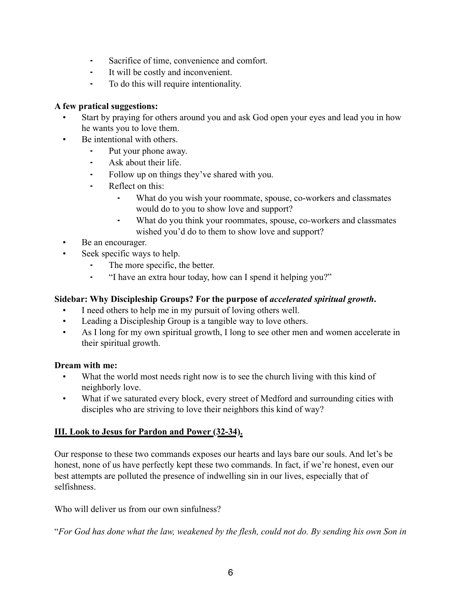- ⁃ Sacrifice of time, convenience and comfort.
- It will be costly and inconvenient.
- ⁃ To do this will require intentionality.

### **A few pratical suggestions:**

- Start by praying for others around you and ask God open your eyes and lead you in how he wants you to love them.
- Be intentional with others.
	- Put your phone away.
	- Ask about their life.
	- Follow up on things they've shared with you.
	- ⁃ Reflect on this:
		- ⁃ What do you wish your roommate, spouse, co-workers and classmates would do to you to show love and support?
		- ⁃ What do you think your roommates, spouse, co-workers and classmates wished you'd do to them to show love and support?
- Be an encourager.
- Seek specific ways to help.
	- The more specific, the better.
	- ⁃ "I have an extra hour today, how can I spend it helping you?"

### **Sidebar: Why Discipleship Groups? For the purpose of** *accelerated spiritual growth***.**

- I need others to help me in my pursuit of loving others well.
- Leading a Discipleship Group is a tangible way to love others.
- As I long for my own spiritual growth, I long to see other men and women accelerate in their spiritual growth.

#### **Dream with me:**

- What the world most needs right now is to see the church living with this kind of neighborly love.
- What if we saturated every block, every street of Medford and surrounding cities with disciples who are striving to love their neighbors this kind of way?

## **III. Look to Jesus for Pardon and Power (32-34).**

Our response to these two commands exposes our hearts and lays bare our souls. And let's be honest, none of us have perfectly kept these two commands. In fact, if we're honest, even our best attempts are polluted the presence of indwelling sin in our lives, especially that of selfishness.

Who will deliver us from our own sinfulness?

"*For God has done what the law, weakened by the flesh, could not do. By sending his own Son in*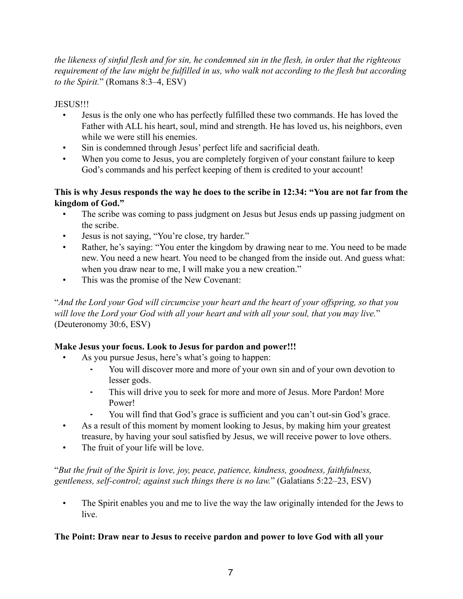*the likeness of sinful flesh and for sin, he condemned sin in the flesh, in order that the righteous requirement of the law might be fulfilled in us, who walk not according to the flesh but according to the Spirit.*" (Romans 8:3–4, ESV)

JESUS!!!

- Jesus is the only one who has perfectly fulfilled these two commands. He has loved the Father with ALL his heart, soul, mind and strength. He has loved us, his neighbors, even while we were still his enemies.
- Sin is condemned through Jesus' perfect life and sacrificial death.
- When you come to Jesus, you are completely forgiven of your constant failure to keep God's commands and his perfect keeping of them is credited to your account!

### **This is why Jesus responds the way he does to the scribe in 12:34: "You are not far from the kingdom of God."**

- The scribe was coming to pass judgment on Jesus but Jesus ends up passing judgment on the scribe.
- Jesus is not saying, "You're close, try harder."
- Rather, he's saying: "You enter the kingdom by drawing near to me. You need to be made new. You need a new heart. You need to be changed from the inside out. And guess what: when you draw near to me, I will make you a new creation."
- This was the promise of the New Covenant:

"*And the Lord your God will circumcise your heart and the heart of your offspring, so that you will love the Lord your God with all your heart and with all your soul, that you may live.*" (Deuteronomy 30:6, ESV)

## **Make Jesus your focus. Look to Jesus for pardon and power!!!**

- As you pursue Jesus, here's what's going to happen:
	- You will discover more and more of your own sin and of your own devotion to lesser gods.
	- This will drive you to seek for more and more of Jesus. More Pardon! More Power!
	- You will find that God's grace is sufficient and you can't out-sin God's grace.
- As a result of this moment by moment looking to Jesus, by making him your greatest treasure, by having your soul satisfied by Jesus, we will receive power to love others.
- The fruit of your life will be love.

"*But the fruit of the Spirit is love, joy, peace, patience, kindness, goodness, faithfulness, gentleness, self-control; against such things there is no law.*" (Galatians 5:22–23, ESV)

• The Spirit enables you and me to live the way the law originally intended for the Jews to live.

## **The Point: Draw near to Jesus to receive pardon and power to love God with all your**